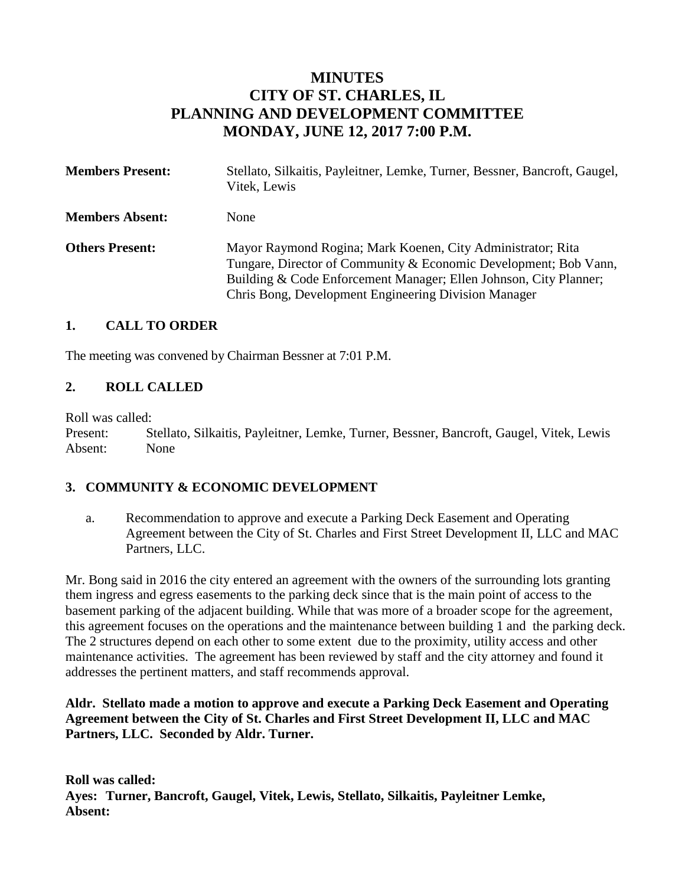# **MINUTES CITY OF ST. CHARLES, IL PLANNING AND DEVELOPMENT COMMITTEE MONDAY, JUNE 12, 2017 7:00 P.M.**

| <b>Members Present:</b> | Stellato, Silkaitis, Payleitner, Lemke, Turner, Bessner, Bancroft, Gaugel,<br>Vitek, Lewis                                                                                                                                                                   |
|-------------------------|--------------------------------------------------------------------------------------------------------------------------------------------------------------------------------------------------------------------------------------------------------------|
| <b>Members Absent:</b>  | <b>None</b>                                                                                                                                                                                                                                                  |
| <b>Others Present:</b>  | Mayor Raymond Rogina; Mark Koenen, City Administrator; Rita<br>Tungare, Director of Community & Economic Development; Bob Vann,<br>Building & Code Enforcement Manager; Ellen Johnson, City Planner;<br>Chris Bong, Development Engineering Division Manager |

#### **1. CALL TO ORDER**

The meeting was convened by Chairman Bessner at 7:01 P.M.

## **2. ROLL CALLED**

Roll was called:

Present: Stellato, Silkaitis, Payleitner, Lemke, Turner, Bessner, Bancroft, Gaugel, Vitek, Lewis Absent: None

#### **3. COMMUNITY & ECONOMIC DEVELOPMENT**

a. Recommendation to approve and execute a Parking Deck Easement and Operating Agreement between the City of St. Charles and First Street Development II, LLC and MAC Partners, LLC.

Mr. Bong said in 2016 the city entered an agreement with the owners of the surrounding lots granting them ingress and egress easements to the parking deck since that is the main point of access to the basement parking of the adjacent building. While that was more of a broader scope for the agreement, this agreement focuses on the operations and the maintenance between building 1 and the parking deck. The 2 structures depend on each other to some extent due to the proximity, utility access and other maintenance activities. The agreement has been reviewed by staff and the city attorney and found it addresses the pertinent matters, and staff recommends approval.

#### **Aldr. Stellato made a motion to approve and execute a Parking Deck Easement and Operating Agreement between the City of St. Charles and First Street Development II, LLC and MAC Partners, LLC. Seconded by Aldr. Turner.**

**Roll was called: Ayes: Turner, Bancroft, Gaugel, Vitek, Lewis, Stellato, Silkaitis, Payleitner Lemke, Absent:**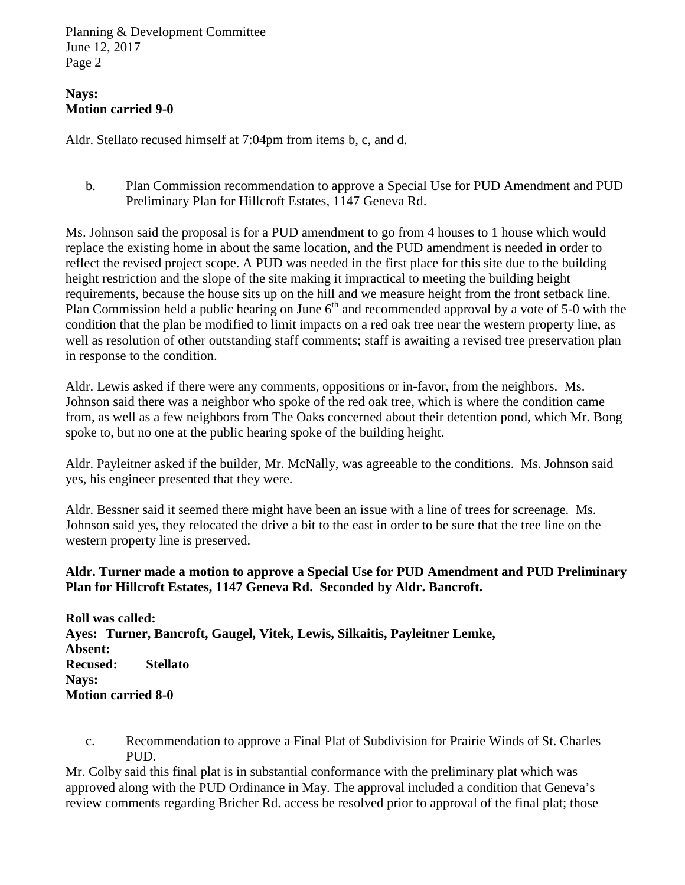## **Nays: Motion carried 9-0**

Aldr. Stellato recused himself at 7:04pm from items b, c, and d.

b. Plan Commission recommendation to approve a Special Use for PUD Amendment and PUD Preliminary Plan for Hillcroft Estates, 1147 Geneva Rd.

Ms. Johnson said the proposal is for a PUD amendment to go from 4 houses to 1 house which would replace the existing home in about the same location, and the PUD amendment is needed in order to reflect the revised project scope. A PUD was needed in the first place for this site due to the building height restriction and the slope of the site making it impractical to meeting the building height requirements, because the house sits up on the hill and we measure height from the front setback line. Plan Commission held a public hearing on June  $6<sup>th</sup>$  and recommended approval by a vote of 5-0 with the condition that the plan be modified to limit impacts on a red oak tree near the western property line, as well as resolution of other outstanding staff comments; staff is awaiting a revised tree preservation plan in response to the condition.

Aldr. Lewis asked if there were any comments, oppositions or in-favor, from the neighbors. Ms. Johnson said there was a neighbor who spoke of the red oak tree, which is where the condition came from, as well as a few neighbors from The Oaks concerned about their detention pond, which Mr. Bong spoke to, but no one at the public hearing spoke of the building height.

Aldr. Payleitner asked if the builder, Mr. McNally, was agreeable to the conditions. Ms. Johnson said yes, his engineer presented that they were.

Aldr. Bessner said it seemed there might have been an issue with a line of trees for screenage. Ms. Johnson said yes, they relocated the drive a bit to the east in order to be sure that the tree line on the western property line is preserved.

#### **Aldr. Turner made a motion to approve a Special Use for PUD Amendment and PUD Preliminary Plan for Hillcroft Estates, 1147 Geneva Rd. Seconded by Aldr. Bancroft.**

**Roll was called: Ayes: Turner, Bancroft, Gaugel, Vitek, Lewis, Silkaitis, Payleitner Lemke, Absent: Recused: Stellato Nays: Motion carried 8-0**

c. Recommendation to approve a Final Plat of Subdivision for Prairie Winds of St. Charles PUD.

Mr. Colby said this final plat is in substantial conformance with the preliminary plat which was approved along with the PUD Ordinance in May. The approval included a condition that Geneva's review comments regarding Bricher Rd. access be resolved prior to approval of the final plat; those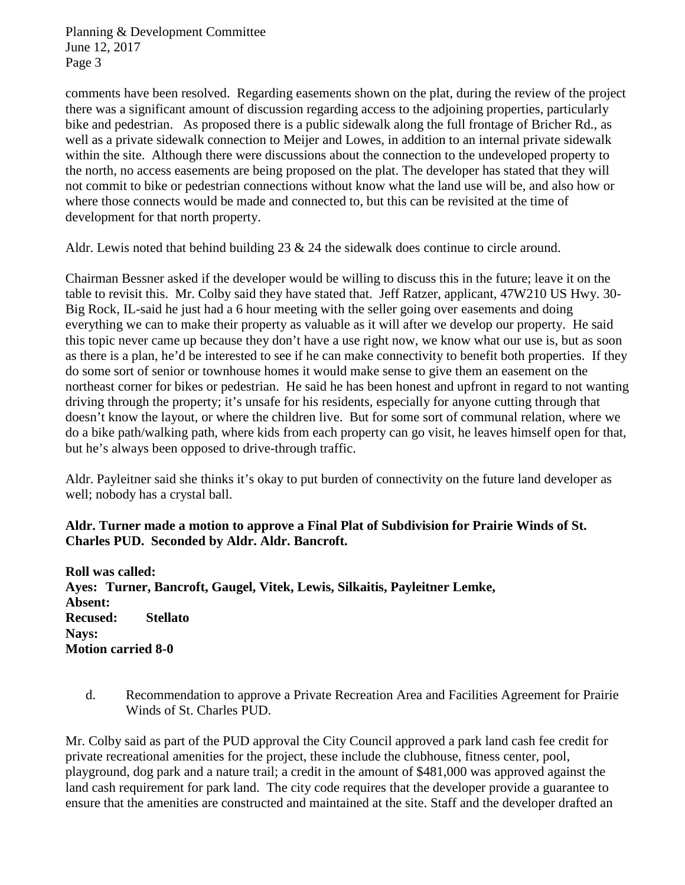comments have been resolved. Regarding easements shown on the plat, during the review of the project there was a significant amount of discussion regarding access to the adjoining properties, particularly bike and pedestrian. As proposed there is a public sidewalk along the full frontage of Bricher Rd., as well as a private sidewalk connection to Meijer and Lowes, in addition to an internal private sidewalk within the site. Although there were discussions about the connection to the undeveloped property to the north, no access easements are being proposed on the plat. The developer has stated that they will not commit to bike or pedestrian connections without know what the land use will be, and also how or where those connects would be made and connected to, but this can be revisited at the time of development for that north property.

Aldr. Lewis noted that behind building  $23 \& 24$  the sidewalk does continue to circle around.

Chairman Bessner asked if the developer would be willing to discuss this in the future; leave it on the table to revisit this. Mr. Colby said they have stated that. Jeff Ratzer, applicant, 47W210 US Hwy. 30- Big Rock, IL-said he just had a 6 hour meeting with the seller going over easements and doing everything we can to make their property as valuable as it will after we develop our property. He said this topic never came up because they don't have a use right now, we know what our use is, but as soon as there is a plan, he'd be interested to see if he can make connectivity to benefit both properties. If they do some sort of senior or townhouse homes it would make sense to give them an easement on the northeast corner for bikes or pedestrian. He said he has been honest and upfront in regard to not wanting driving through the property; it's unsafe for his residents, especially for anyone cutting through that doesn't know the layout, or where the children live. But for some sort of communal relation, where we do a bike path/walking path, where kids from each property can go visit, he leaves himself open for that, but he's always been opposed to drive-through traffic.

Aldr. Payleitner said she thinks it's okay to put burden of connectivity on the future land developer as well; nobody has a crystal ball.

#### **Aldr. Turner made a motion to approve a Final Plat of Subdivision for Prairie Winds of St. Charles PUD. Seconded by Aldr. Aldr. Bancroft.**

**Roll was called: Ayes: Turner, Bancroft, Gaugel, Vitek, Lewis, Silkaitis, Payleitner Lemke, Absent: Recused: Stellato Nays: Motion carried 8-0**

d. Recommendation to approve a Private Recreation Area and Facilities Agreement for Prairie Winds of St. Charles PUD.

Mr. Colby said as part of the PUD approval the City Council approved a park land cash fee credit for private recreational amenities for the project, these include the clubhouse, fitness center, pool, playground, dog park and a nature trail; a credit in the amount of \$481,000 was approved against the land cash requirement for park land. The city code requires that the developer provide a guarantee to ensure that the amenities are constructed and maintained at the site. Staff and the developer drafted an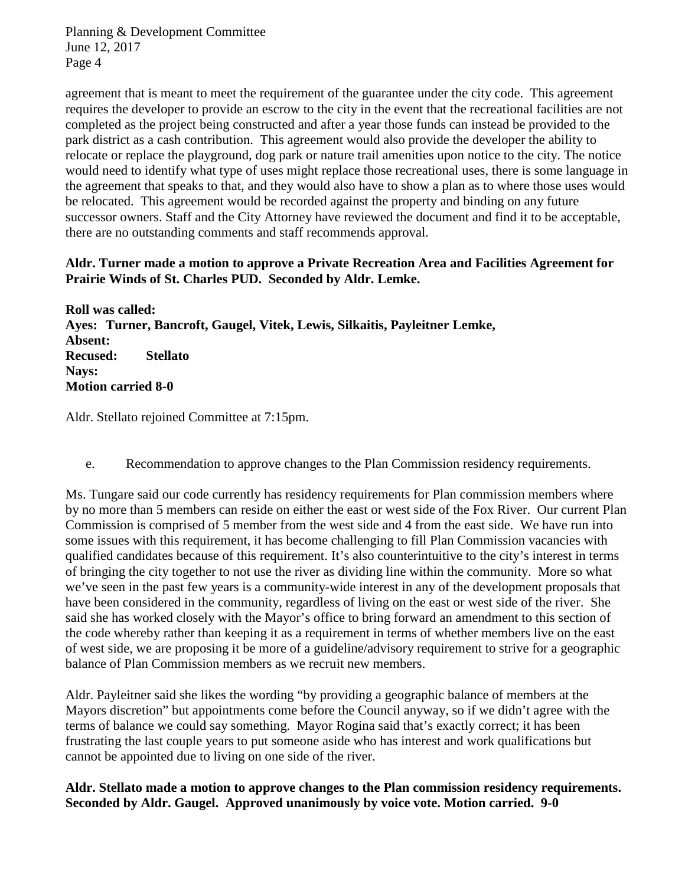agreement that is meant to meet the requirement of the guarantee under the city code. This agreement requires the developer to provide an escrow to the city in the event that the recreational facilities are not completed as the project being constructed and after a year those funds can instead be provided to the park district as a cash contribution. This agreement would also provide the developer the ability to relocate or replace the playground, dog park or nature trail amenities upon notice to the city. The notice would need to identify what type of uses might replace those recreational uses, there is some language in the agreement that speaks to that, and they would also have to show a plan as to where those uses would be relocated. This agreement would be recorded against the property and binding on any future successor owners. Staff and the City Attorney have reviewed the document and find it to be acceptable, there are no outstanding comments and staff recommends approval.

#### **Aldr. Turner made a motion to approve a Private Recreation Area and Facilities Agreement for Prairie Winds of St. Charles PUD. Seconded by Aldr. Lemke.**

**Roll was called: Ayes: Turner, Bancroft, Gaugel, Vitek, Lewis, Silkaitis, Payleitner Lemke, Absent: Recused: Stellato Nays: Motion carried 8-0**

Aldr. Stellato rejoined Committee at 7:15pm.

e. Recommendation to approve changes to the Plan Commission residency requirements.

Ms. Tungare said our code currently has residency requirements for Plan commission members where by no more than 5 members can reside on either the east or west side of the Fox River. Our current Plan Commission is comprised of 5 member from the west side and 4 from the east side. We have run into some issues with this requirement, it has become challenging to fill Plan Commission vacancies with qualified candidates because of this requirement. It's also counterintuitive to the city's interest in terms of bringing the city together to not use the river as dividing line within the community. More so what we've seen in the past few years is a community-wide interest in any of the development proposals that have been considered in the community, regardless of living on the east or west side of the river. She said she has worked closely with the Mayor's office to bring forward an amendment to this section of the code whereby rather than keeping it as a requirement in terms of whether members live on the east of west side, we are proposing it be more of a guideline/advisory requirement to strive for a geographic balance of Plan Commission members as we recruit new members.

Aldr. Payleitner said she likes the wording "by providing a geographic balance of members at the Mayors discretion" but appointments come before the Council anyway, so if we didn't agree with the terms of balance we could say something. Mayor Rogina said that's exactly correct; it has been frustrating the last couple years to put someone aside who has interest and work qualifications but cannot be appointed due to living on one side of the river.

**Aldr. Stellato made a motion to approve changes to the Plan commission residency requirements. Seconded by Aldr. Gaugel. Approved unanimously by voice vote. Motion carried. 9-0**